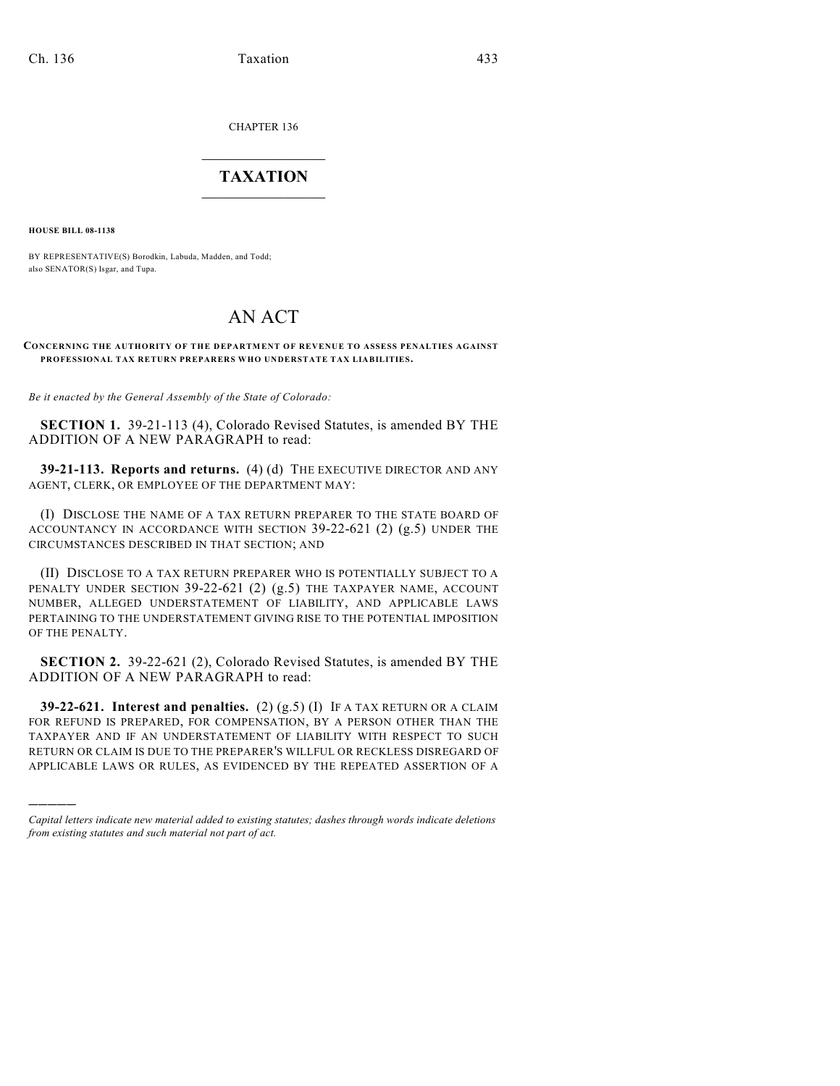CHAPTER 136

## $\overline{\phantom{a}}$  . The set of the set of the set of the set of the set of the set of the set of the set of the set of the set of the set of the set of the set of the set of the set of the set of the set of the set of the set o **TAXATION**  $\_$

**HOUSE BILL 08-1138**

)))))

BY REPRESENTATIVE(S) Borodkin, Labuda, Madden, and Todd; also SENATOR(S) Isgar, and Tupa.

## AN ACT

## **CONCERNING THE AUTHORITY OF THE DEPARTMENT OF REVENUE TO ASSESS PENALTIES AGAINST PROFESSIONAL TAX RETURN PREPARERS WHO UNDERSTATE TAX LIABILITIES.**

*Be it enacted by the General Assembly of the State of Colorado:*

**SECTION 1.** 39-21-113 (4), Colorado Revised Statutes, is amended BY THE ADDITION OF A NEW PARAGRAPH to read:

**39-21-113. Reports and returns.** (4) (d) THE EXECUTIVE DIRECTOR AND ANY AGENT, CLERK, OR EMPLOYEE OF THE DEPARTMENT MAY:

(I) DISCLOSE THE NAME OF A TAX RETURN PREPARER TO THE STATE BOARD OF ACCOUNTANCY IN ACCORDANCE WITH SECTION 39-22-621 (2) (g.5) UNDER THE CIRCUMSTANCES DESCRIBED IN THAT SECTION; AND

(II) DISCLOSE TO A TAX RETURN PREPARER WHO IS POTENTIALLY SUBJECT TO A PENALTY UNDER SECTION 39-22-621 (2) (g.5) THE TAXPAYER NAME, ACCOUNT NUMBER, ALLEGED UNDERSTATEMENT OF LIABILITY, AND APPLICABLE LAWS PERTAINING TO THE UNDERSTATEMENT GIVING RISE TO THE POTENTIAL IMPOSITION OF THE PENALTY.

**SECTION 2.** 39-22-621 (2), Colorado Revised Statutes, is amended BY THE ADDITION OF A NEW PARAGRAPH to read:

**39-22-621. Interest and penalties.** (2) (g.5) (I) IF A TAX RETURN OR A CLAIM FOR REFUND IS PREPARED, FOR COMPENSATION, BY A PERSON OTHER THAN THE TAXPAYER AND IF AN UNDERSTATEMENT OF LIABILITY WITH RESPECT TO SUCH RETURN OR CLAIM IS DUE TO THE PREPARER'S WILLFUL OR RECKLESS DISREGARD OF APPLICABLE LAWS OR RULES, AS EVIDENCED BY THE REPEATED ASSERTION OF A

*Capital letters indicate new material added to existing statutes; dashes through words indicate deletions from existing statutes and such material not part of act.*